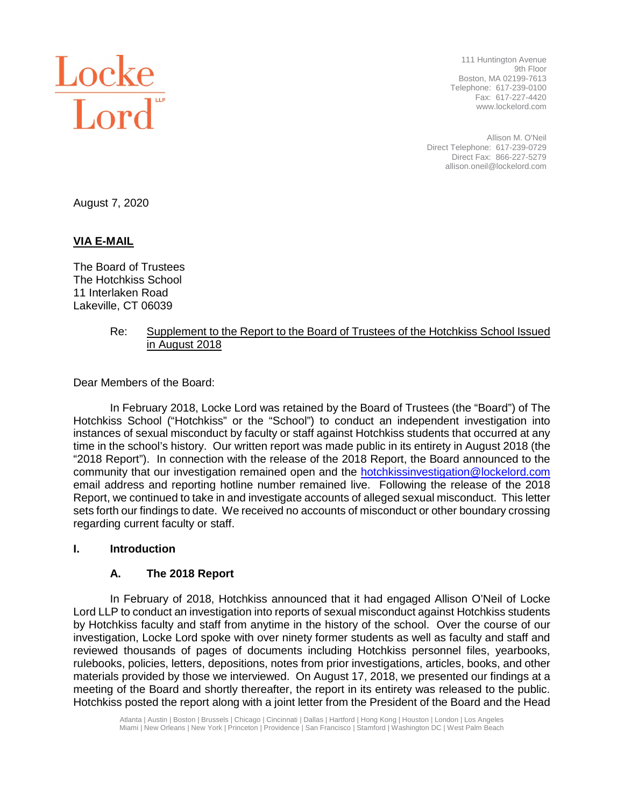

111 Huntington Avenue 9th Floor Boston, MA 02199-7613 Telephone: 617-239-0100 Fax: 617-227-4420 www.lockelord.com

Allison M. O'Neil Direct Telephone: 617-239-0729 Direct Fax: 866-227-5279 allison.oneil@lockelord.com

August 7, 2020

# **VIA E-MAIL**

The Board of Trustees The Hotchkiss School 11 Interlaken Road Lakeville, CT 06039

## Re: Supplement to the Report to the Board of Trustees of the Hotchkiss School Issued in August 2018

Dear Members of the Board:

In February 2018, Locke Lord was retained by the Board of Trustees (the "Board") of The Hotchkiss School ("Hotchkiss" or the "School") to conduct an independent investigation into instances of sexual misconduct by faculty or staff against Hotchkiss students that occurred at any time in the school's history. Our written report was made public in its entirety in August 2018 (the "2018 Report"). In connection with the release of the 2018 Report, the Board announced to the community that our investigation remained open and the hotchkissinvestigation@lockelord.com email address and reporting hotline number remained live. Following the release of the 2018 Report, we continued to take in and investigate accounts of alleged sexual misconduct. This letter sets forth our findings to date. We received no accounts of misconduct or other boundary crossing regarding current faculty or staff.

#### **I. Introduction**

## **A. The 2018 Report**

In February of 2018, Hotchkiss announced that it had engaged Allison O'Neil of Locke Lord LLP to conduct an investigation into reports of sexual misconduct against Hotchkiss students by Hotchkiss faculty and staff from anytime in the history of the school. Over the course of our investigation, Locke Lord spoke with over ninety former students as well as faculty and staff and reviewed thousands of pages of documents including Hotchkiss personnel files, yearbooks, rulebooks, policies, letters, depositions, notes from prior investigations, articles, books, and other materials provided by those we interviewed. On August 17, 2018, we presented our findings at a meeting of the Board and shortly thereafter, the report in its entirety was released to the public. Hotchkiss posted the report along with a joint letter from the President of the Board and the Head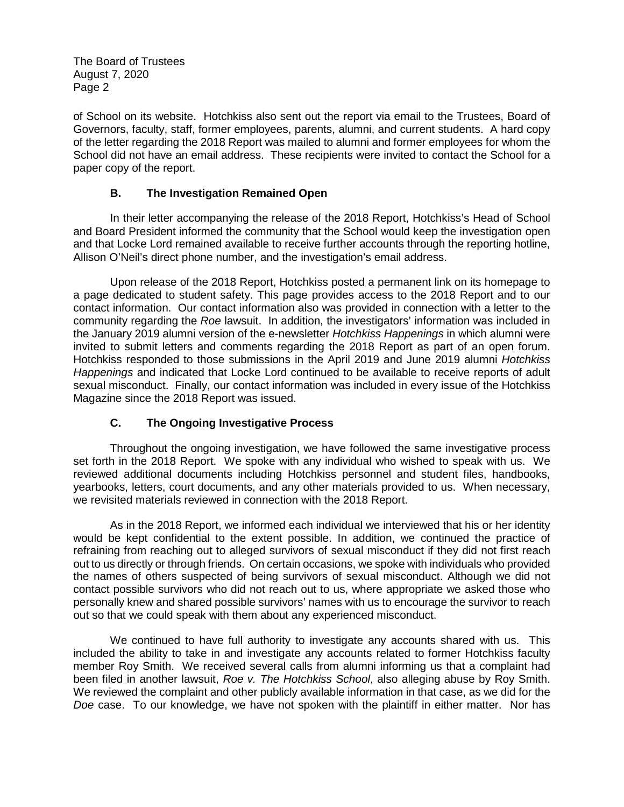of School on its website. Hotchkiss also sent out the report via email to the Trustees, Board of Governors, faculty, staff, former employees, parents, alumni, and current students. A hard copy of the letter regarding the 2018 Report was mailed to alumni and former employees for whom the School did not have an email address. These recipients were invited to contact the School for a paper copy of the report.

# **B. The Investigation Remained Open**

In their letter accompanying the release of the 2018 Report, Hotchkiss's Head of School and Board President informed the community that the School would keep the investigation open and that Locke Lord remained available to receive further accounts through the reporting hotline, Allison O'Neil's direct phone number, and the investigation's email address.

Upon release of the 2018 Report, Hotchkiss posted a permanent link on its homepage to a page dedicated to student safety. This page provides access to the 2018 Report and to our contact information. Our contact information also was provided in connection with a letter to the community regarding the *Roe* lawsuit. In addition, the investigators' information was included in the January 2019 alumni version of the e-newsletter *Hotchkiss Happenings* in which alumni were invited to submit letters and comments regarding the 2018 Report as part of an open forum. Hotchkiss responded to those submissions in the April 2019 and June 2019 alumni *Hotchkiss Happenings* and indicated that Locke Lord continued to be available to receive reports of adult sexual misconduct. Finally, our contact information was included in every issue of the Hotchkiss Magazine since the 2018 Report was issued.

# **C. The Ongoing Investigative Process**

Throughout the ongoing investigation, we have followed the same investigative process set forth in the 2018 Report. We spoke with any individual who wished to speak with us. We reviewed additional documents including Hotchkiss personnel and student files, handbooks, yearbooks, letters, court documents, and any other materials provided to us. When necessary, we revisited materials reviewed in connection with the 2018 Report.

As in the 2018 Report, we informed each individual we interviewed that his or her identity would be kept confidential to the extent possible. In addition, we continued the practice of refraining from reaching out to alleged survivors of sexual misconduct if they did not first reach out to us directly or through friends. On certain occasions, we spoke with individuals who provided the names of others suspected of being survivors of sexual misconduct. Although we did not contact possible survivors who did not reach out to us, where appropriate we asked those who personally knew and shared possible survivors' names with us to encourage the survivor to reach out so that we could speak with them about any experienced misconduct.

We continued to have full authority to investigate any accounts shared with us. This included the ability to take in and investigate any accounts related to former Hotchkiss faculty member Roy Smith. We received several calls from alumni informing us that a complaint had been filed in another lawsuit, *Roe v. The Hotchkiss School*, also alleging abuse by Roy Smith. We reviewed the complaint and other publicly available information in that case, as we did for the *Doe* case. To our knowledge, we have not spoken with the plaintiff in either matter. Nor has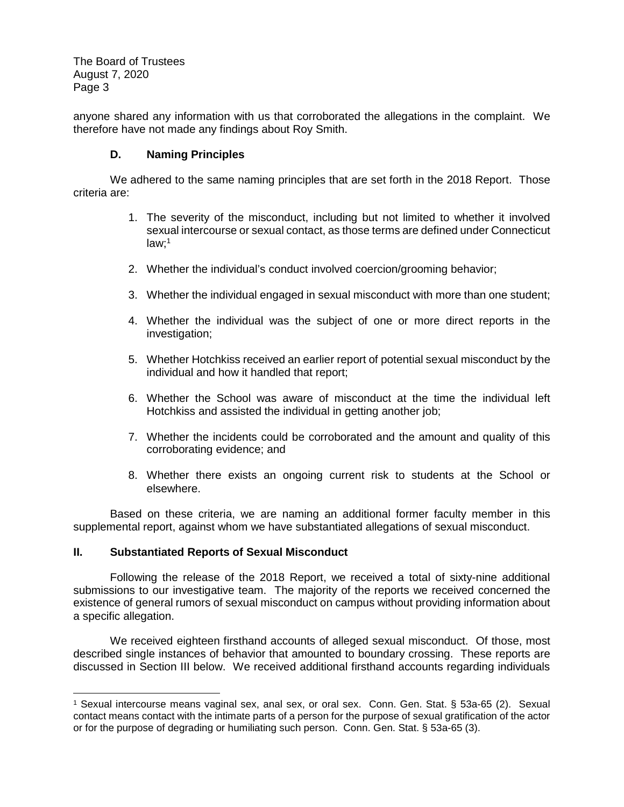anyone shared any information with us that corroborated the allegations in the complaint. We therefore have not made any findings about Roy Smith.

## **D. Naming Principles**

We adhered to the same naming principles that are set forth in the 2018 Report. Those criteria are:

- 1. The severity of the misconduct, including but not limited to whether it involved sexual intercourse or sexual contact, as those terms are defined under Connecticut law;<sup>1</sup>
- 2. Whether the individual's conduct involved coercion/grooming behavior;
- 3. Whether the individual engaged in sexual misconduct with more than one student;
- 4. Whether the individual was the subject of one or more direct reports in the investigation;
- 5. Whether Hotchkiss received an earlier report of potential sexual misconduct by the individual and how it handled that report;
- 6. Whether the School was aware of misconduct at the time the individual left Hotchkiss and assisted the individual in getting another job;
- 7. Whether the incidents could be corroborated and the amount and quality of this corroborating evidence; and
- 8. Whether there exists an ongoing current risk to students at the School or elsewhere.

Based on these criteria, we are naming an additional former faculty member in this supplemental report, against whom we have substantiated allegations of sexual misconduct.

#### **II. Substantiated Reports of Sexual Misconduct**

Following the release of the 2018 Report, we received a total of sixty-nine additional submissions to our investigative team. The majority of the reports we received concerned the existence of general rumors of sexual misconduct on campus without providing information about a specific allegation.

We received eighteen firsthand accounts of alleged sexual misconduct. Of those, most described single instances of behavior that amounted to boundary crossing. These reports are discussed in Section III below. We received additional firsthand accounts regarding individuals

<sup>1</sup> Sexual intercourse means vaginal sex, anal sex, or oral sex. Conn. Gen. Stat. § 53a-65 (2). Sexual contact means contact with the intimate parts of a person for the purpose of sexual gratification of the actor or for the purpose of degrading or humiliating such person. Conn. Gen. Stat. § 53a-65 (3).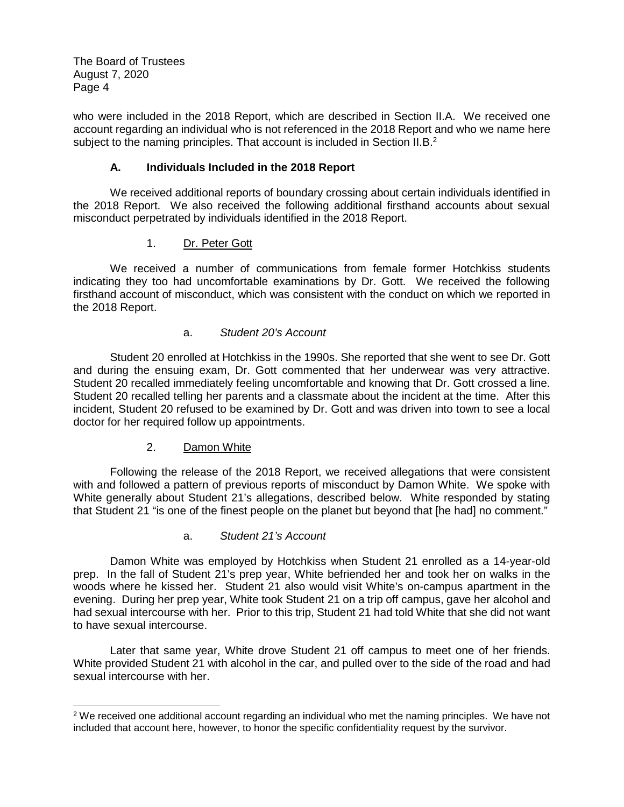who were included in the 2018 Report, which are described in Section II.A. We received one account regarding an individual who is not referenced in the 2018 Report and who we name here subject to the naming principles. That account is included in Section II.B.<sup>2</sup>

# **A. Individuals Included in the 2018 Report**

We received additional reports of boundary crossing about certain individuals identified in the 2018 Report. We also received the following additional firsthand accounts about sexual misconduct perpetrated by individuals identified in the 2018 Report.

# 1. Dr. Peter Gott

We received a number of communications from female former Hotchkiss students indicating they too had uncomfortable examinations by Dr. Gott. We received the following firsthand account of misconduct, which was consistent with the conduct on which we reported in the 2018 Report.

## a. *Student 20's Account*

Student 20 enrolled at Hotchkiss in the 1990s. She reported that she went to see Dr. Gott and during the ensuing exam, Dr. Gott commented that her underwear was very attractive. Student 20 recalled immediately feeling uncomfortable and knowing that Dr. Gott crossed a line. Student 20 recalled telling her parents and a classmate about the incident at the time. After this incident, Student 20 refused to be examined by Dr. Gott and was driven into town to see a local doctor for her required follow up appointments.

## 2. Damon White

Following the release of the 2018 Report, we received allegations that were consistent with and followed a pattern of previous reports of misconduct by Damon White. We spoke with White generally about Student 21's allegations, described below. White responded by stating that Student 21 "is one of the finest people on the planet but beyond that [he had] no comment."

## a. *Student 21's Account*

Damon White was employed by Hotchkiss when Student 21 enrolled as a 14-year-old prep. In the fall of Student 21's prep year, White befriended her and took her on walks in the woods where he kissed her. Student 21 also would visit White's on-campus apartment in the evening. During her prep year, White took Student 21 on a trip off campus, gave her alcohol and had sexual intercourse with her. Prior to this trip, Student 21 had told White that she did not want to have sexual intercourse.

Later that same year, White drove Student 21 off campus to meet one of her friends. White provided Student 21 with alcohol in the car, and pulled over to the side of the road and had sexual intercourse with her.

 $2$  We received one additional account regarding an individual who met the naming principles. We have not included that account here, however, to honor the specific confidentiality request by the survivor.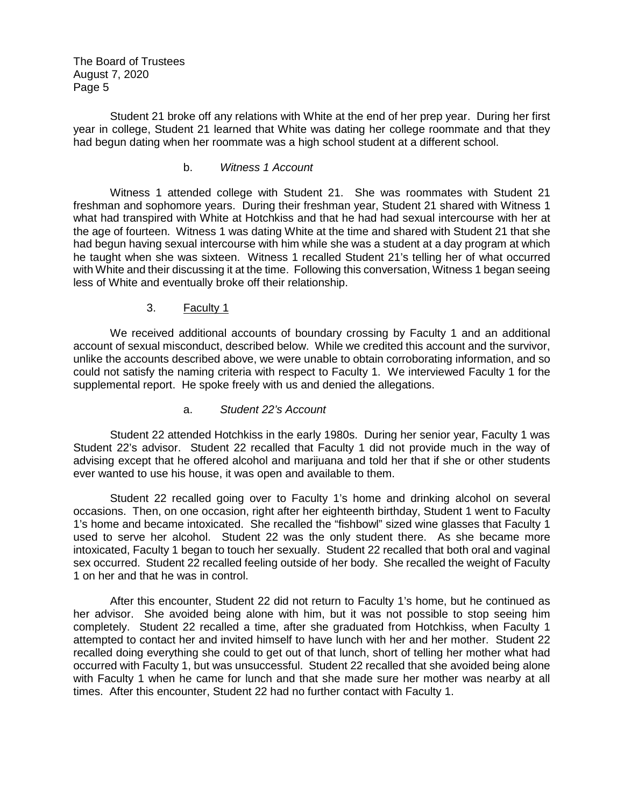Student 21 broke off any relations with White at the end of her prep year. During her first year in college, Student 21 learned that White was dating her college roommate and that they had begun dating when her roommate was a high school student at a different school.

#### b. *Witness 1 Account*

Witness 1 attended college with Student 21. She was roommates with Student 21 freshman and sophomore years. During their freshman year, Student 21 shared with Witness 1 what had transpired with White at Hotchkiss and that he had had sexual intercourse with her at the age of fourteen. Witness 1 was dating White at the time and shared with Student 21 that she had begun having sexual intercourse with him while she was a student at a day program at which he taught when she was sixteen. Witness 1 recalled Student 21's telling her of what occurred with White and their discussing it at the time. Following this conversation, Witness 1 began seeing less of White and eventually broke off their relationship.

### 3. Faculty 1

We received additional accounts of boundary crossing by Faculty 1 and an additional account of sexual misconduct, described below. While we credited this account and the survivor, unlike the accounts described above, we were unable to obtain corroborating information, and so could not satisfy the naming criteria with respect to Faculty 1. We interviewed Faculty 1 for the supplemental report. He spoke freely with us and denied the allegations.

#### a. *Student 22's Account*

Student 22 attended Hotchkiss in the early 1980s. During her senior year, Faculty 1 was Student 22's advisor. Student 22 recalled that Faculty 1 did not provide much in the way of advising except that he offered alcohol and marijuana and told her that if she or other students ever wanted to use his house, it was open and available to them.

Student 22 recalled going over to Faculty 1's home and drinking alcohol on several occasions. Then, on one occasion, right after her eighteenth birthday, Student 1 went to Faculty 1's home and became intoxicated. She recalled the "fishbowl" sized wine glasses that Faculty 1 used to serve her alcohol. Student 22 was the only student there. As she became more intoxicated, Faculty 1 began to touch her sexually. Student 22 recalled that both oral and vaginal sex occurred. Student 22 recalled feeling outside of her body. She recalled the weight of Faculty 1 on her and that he was in control.

After this encounter, Student 22 did not return to Faculty 1's home, but he continued as her advisor. She avoided being alone with him, but it was not possible to stop seeing him completely. Student 22 recalled a time, after she graduated from Hotchkiss, when Faculty 1 attempted to contact her and invited himself to have lunch with her and her mother. Student 22 recalled doing everything she could to get out of that lunch, short of telling her mother what had occurred with Faculty 1, but was unsuccessful. Student 22 recalled that she avoided being alone with Faculty 1 when he came for lunch and that she made sure her mother was nearby at all times. After this encounter, Student 22 had no further contact with Faculty 1.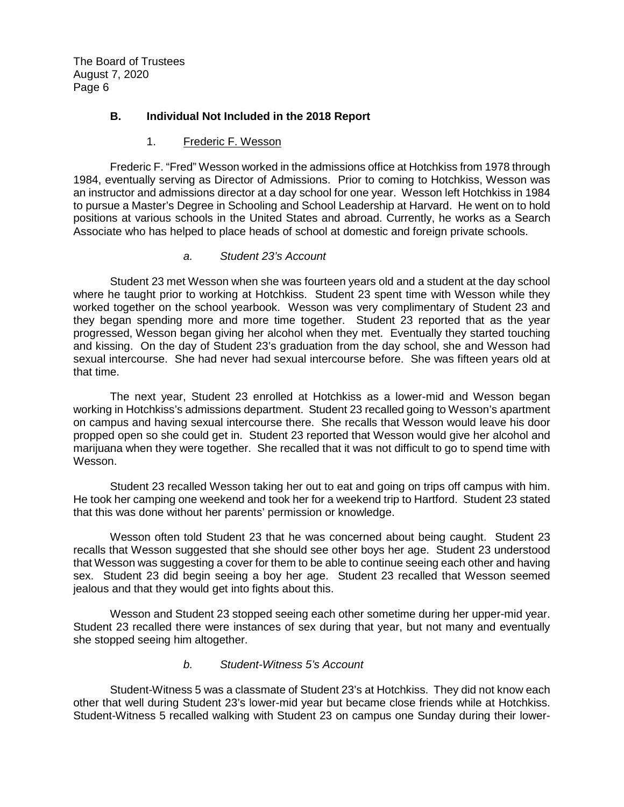## **B. Individual Not Included in the 2018 Report**

#### 1. Frederic F. Wesson

Frederic F. "Fred" Wesson worked in the admissions office at Hotchkiss from 1978 through 1984, eventually serving as Director of Admissions. Prior to coming to Hotchkiss, Wesson was an instructor and admissions director at a day school for one year. Wesson left Hotchkiss in 1984 to pursue a Master's Degree in Schooling and School Leadership at Harvard. He went on to hold positions at various schools in the United States and abroad. Currently, he works as a Search Associate who has helped to place heads of school at domestic and foreign private schools.

### *a. Student 23's Account*

Student 23 met Wesson when she was fourteen years old and a student at the day school where he taught prior to working at Hotchkiss. Student 23 spent time with Wesson while they worked together on the school yearbook. Wesson was very complimentary of Student 23 and they began spending more and more time together. Student 23 reported that as the year progressed, Wesson began giving her alcohol when they met. Eventually they started touching and kissing. On the day of Student 23's graduation from the day school, she and Wesson had sexual intercourse. She had never had sexual intercourse before. She was fifteen years old at that time.

The next year, Student 23 enrolled at Hotchkiss as a lower-mid and Wesson began working in Hotchkiss's admissions department. Student 23 recalled going to Wesson's apartment on campus and having sexual intercourse there. She recalls that Wesson would leave his door propped open so she could get in. Student 23 reported that Wesson would give her alcohol and marijuana when they were together. She recalled that it was not difficult to go to spend time with Wesson.

Student 23 recalled Wesson taking her out to eat and going on trips off campus with him. He took her camping one weekend and took her for a weekend trip to Hartford. Student 23 stated that this was done without her parents' permission or knowledge.

Wesson often told Student 23 that he was concerned about being caught. Student 23 recalls that Wesson suggested that she should see other boys her age. Student 23 understood that Wesson was suggesting a cover for them to be able to continue seeing each other and having sex. Student 23 did begin seeing a boy her age. Student 23 recalled that Wesson seemed jealous and that they would get into fights about this.

Wesson and Student 23 stopped seeing each other sometime during her upper-mid year. Student 23 recalled there were instances of sex during that year, but not many and eventually she stopped seeing him altogether.

#### *b. Student-Witness 5's Account*

Student-Witness 5 was a classmate of Student 23's at Hotchkiss. They did not know each other that well during Student 23's lower-mid year but became close friends while at Hotchkiss. Student-Witness 5 recalled walking with Student 23 on campus one Sunday during their lower-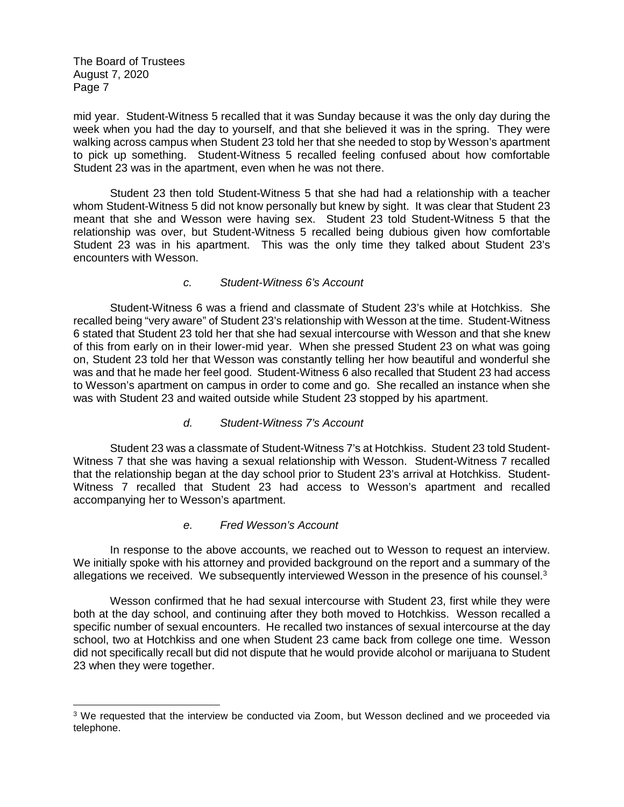mid year. Student-Witness 5 recalled that it was Sunday because it was the only day during the week when you had the day to yourself, and that she believed it was in the spring. They were walking across campus when Student 23 told her that she needed to stop by Wesson's apartment to pick up something. Student-Witness 5 recalled feeling confused about how comfortable Student 23 was in the apartment, even when he was not there.

Student 23 then told Student-Witness 5 that she had had a relationship with a teacher whom Student-Witness 5 did not know personally but knew by sight. It was clear that Student 23 meant that she and Wesson were having sex. Student 23 told Student-Witness 5 that the relationship was over, but Student-Witness 5 recalled being dubious given how comfortable Student 23 was in his apartment. This was the only time they talked about Student 23's encounters with Wesson.

#### *c. Student-Witness 6's Account*

Student-Witness 6 was a friend and classmate of Student 23's while at Hotchkiss. She recalled being "very aware" of Student 23's relationship with Wesson at the time. Student-Witness 6 stated that Student 23 told her that she had sexual intercourse with Wesson and that she knew of this from early on in their lower-mid year. When she pressed Student 23 on what was going on, Student 23 told her that Wesson was constantly telling her how beautiful and wonderful she was and that he made her feel good. Student-Witness 6 also recalled that Student 23 had access to Wesson's apartment on campus in order to come and go. She recalled an instance when she was with Student 23 and waited outside while Student 23 stopped by his apartment.

#### *d. Student-Witness 7's Account*

Student 23 was a classmate of Student-Witness 7's at Hotchkiss. Student 23 told Student-Witness 7 that she was having a sexual relationship with Wesson. Student-Witness 7 recalled that the relationship began at the day school prior to Student 23's arrival at Hotchkiss. Student-Witness 7 recalled that Student 23 had access to Wesson's apartment and recalled accompanying her to Wesson's apartment.

## *e. Fred Wesson's Account*

In response to the above accounts, we reached out to Wesson to request an interview. We initially spoke with his attorney and provided background on the report and a summary of the allegations we received. We subsequently interviewed Wesson in the presence of his counsel.<sup>3</sup>

Wesson confirmed that he had sexual intercourse with Student 23, first while they were both at the day school, and continuing after they both moved to Hotchkiss. Wesson recalled a specific number of sexual encounters. He recalled two instances of sexual intercourse at the day school, two at Hotchkiss and one when Student 23 came back from college one time. Wesson did not specifically recall but did not dispute that he would provide alcohol or marijuana to Student 23 when they were together.

<sup>&</sup>lt;sup>3</sup> We requested that the interview be conducted via Zoom, but Wesson declined and we proceeded via telephone.